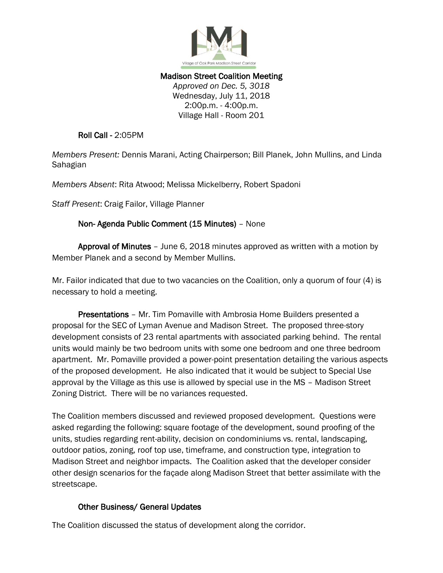

## Madison Street Coalition Meeting *Approved on Dec. 5, 3018* Wednesday, July 11, 2018 2:00p.m. - 4:00p.m. Village Hall - Room 201

Roll Call - 2:05PM

*Members Present:* Dennis Marani, Acting Chairperson; Bill Planek, John Mullins, and Linda Sahagian

*Members Absent*: Rita Atwood; Melissa Mickelberry, Robert Spadoni

*Staff Present*: Craig Failor, Village Planner

## Non- Agenda Public Comment (15 Minutes) – None

 Approval of Minutes – June 6, 2018 minutes approved as written with a motion by Member Planek and a second by Member Mullins.

Mr. Failor indicated that due to two vacancies on the Coalition, only a quorum of four (4) is necessary to hold a meeting.

 Presentations – Mr. Tim Pomaville with Ambrosia Home Builders presented a proposal for the SEC of Lyman Avenue and Madison Street. The proposed three-story development consists of 23 rental apartments with associated parking behind. The rental units would mainly be two bedroom units with some one bedroom and one three bedroom apartment. Mr. Pomaville provided a power-point presentation detailing the various aspects of the proposed development. He also indicated that it would be subject to Special Use approval by the Village as this use is allowed by special use in the MS – Madison Street Zoning District. There will be no variances requested.

The Coalition members discussed and reviewed proposed development. Questions were asked regarding the following: square footage of the development, sound proofing of the units, studies regarding rent-ability, decision on condominiums vs. rental, landscaping, outdoor patios, zoning, roof top use, timeframe, and construction type, integration to Madison Street and neighbor impacts. The Coalition asked that the developer consider other design scenarios for the façade along Madison Street that better assimilate with the streetscape.

## Other Business/ General Updates

The Coalition discussed the status of development along the corridor.